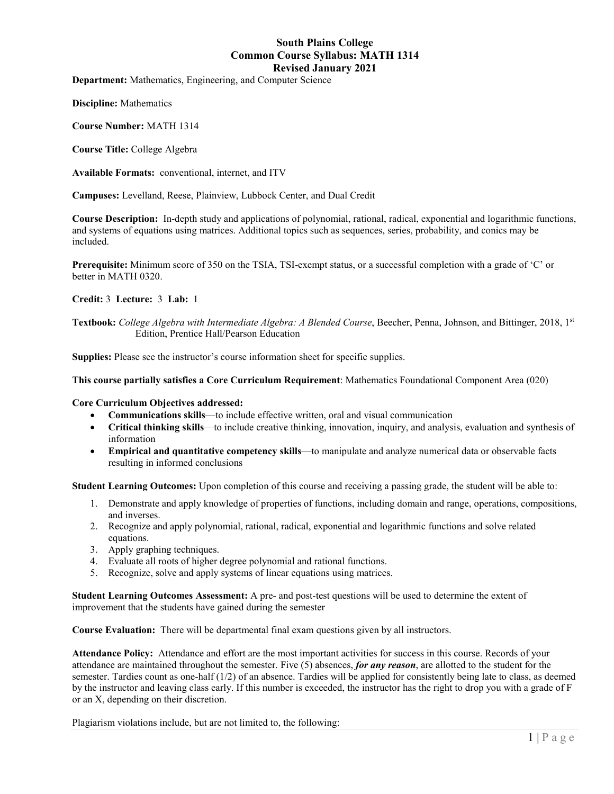# **South Plains College Common Course Syllabus: MATH 1314 Revised January 2021**

**Department:** Mathematics, Engineering, and Computer Science

**Discipline:** Mathematics

**Course Number:** MATH 1314

**Course Title:** College Algebra

**Available Formats:** conventional, internet, and ITV

**Campuses:** Levelland, Reese, Plainview, Lubbock Center, and Dual Credit

**Course Description:** In-depth study and applications of polynomial, rational, radical, exponential and logarithmic functions, and systems of equations using matrices. Additional topics such as sequences, series, probability, and conics may be included.

**Prerequisite:** Minimum score of 350 on the TSIA, TSI-exempt status, or a successful completion with a grade of 'C' or better in MATH 0320.

**Credit:** 3 **Lecture:** 3 **Lab:** 1

**Textbook:** *College Algebra with Intermediate Algebra: A Blended Course*, Beecher, Penna, Johnson, and Bittinger, 2018, 1st Edition, Prentice Hall/Pearson Education

**Supplies:** Please see the instructor's course information sheet for specific supplies.

**This course partially satisfies a Core Curriculum Requirement**: Mathematics Foundational Component Area (020)

#### **Core Curriculum Objectives addressed:**

- **Communications skills**—to include effective written, oral and visual communication
- **Critical thinking skills**—to include creative thinking, innovation, inquiry, and analysis, evaluation and synthesis of information
- **Empirical and quantitative competency skills**—to manipulate and analyze numerical data or observable facts resulting in informed conclusions

**Student Learning Outcomes:** Upon completion of this course and receiving a passing grade, the student will be able to:

- 1. Demonstrate and apply knowledge of properties of functions, including domain and range, operations, compositions, and inverses.
- 2. Recognize and apply polynomial, rational, radical, exponential and logarithmic functions and solve related equations.
- 3. Apply graphing techniques.
- 4. Evaluate all roots of higher degree polynomial and rational functions.
- 5. Recognize, solve and apply systems of linear equations using matrices.

**Student Learning Outcomes Assessment:** A pre- and post-test questions will be used to determine the extent of improvement that the students have gained during the semester

**Course Evaluation:** There will be departmental final exam questions given by all instructors.

**Attendance Policy:** Attendance and effort are the most important activities for success in this course. Records of your attendance are maintained throughout the semester. Five (5) absences, *for any reason*, are allotted to the student for the semester. Tardies count as one-half (1/2) of an absence. Tardies will be applied for consistently being late to class, as deemed by the instructor and leaving class early. If this number is exceeded, the instructor has the right to drop you with a grade of F or an X, depending on their discretion.

Plagiarism violations include, but are not limited to, the following: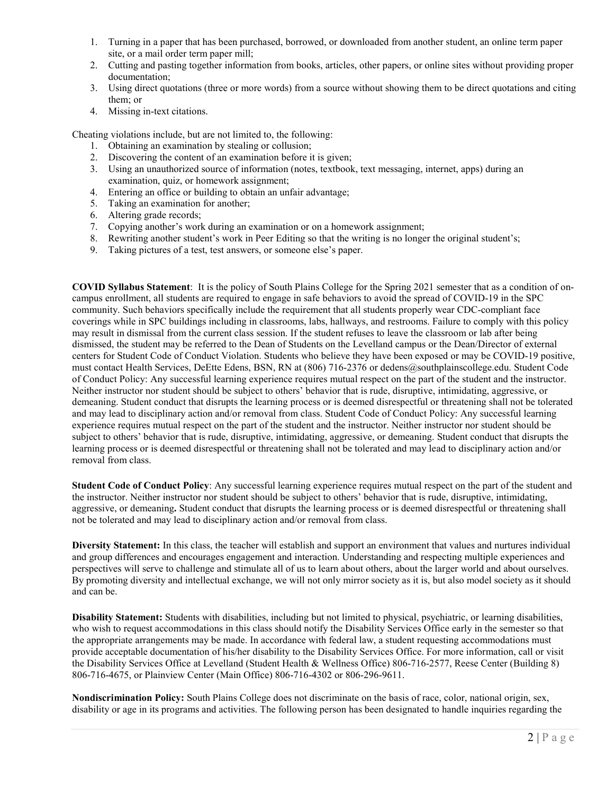- 1. Turning in a paper that has been purchased, borrowed, or downloaded from another student, an online term paper site, or a mail order term paper mill;
- 2. Cutting and pasting together information from books, articles, other papers, or online sites without providing proper documentation;
- 3. Using direct quotations (three or more words) from a source without showing them to be direct quotations and citing them; or
- 4. Missing in-text citations.

Cheating violations include, but are not limited to, the following:

- 1. Obtaining an examination by stealing or collusion;
- 2. Discovering the content of an examination before it is given;
- 3. Using an unauthorized source of information (notes, textbook, text messaging, internet, apps) during an examination, quiz, or homework assignment;
- 4. Entering an office or building to obtain an unfair advantage;
- 5. Taking an examination for another;
- 6. Altering grade records;
- 7. Copying another's work during an examination or on a homework assignment;
- 8. Rewriting another student's work in Peer Editing so that the writing is no longer the original student's;
- 9. Taking pictures of a test, test answers, or someone else's paper.

**COVID Syllabus Statement**: It is the policy of South Plains College for the Spring 2021 semester that as a condition of oncampus enrollment, all students are required to engage in safe behaviors to avoid the spread of COVID-19 in the SPC community. Such behaviors specifically include the requirement that all students properly wear CDC-compliant face coverings while in SPC buildings including in classrooms, labs, hallways, and restrooms. Failure to comply with this policy may result in dismissal from the current class session. If the student refuses to leave the classroom or lab after being dismissed, the student may be referred to the Dean of Students on the Levelland campus or the Dean/Director of external centers for Student Code of Conduct Violation. Students who believe they have been exposed or may be COVID-19 positive, must contact Health Services, DeEtte Edens, BSN, RN at (806) 716-2376 or dedens@southplainscollege.edu. Student Code of Conduct Policy: Any successful learning experience requires mutual respect on the part of the student and the instructor. Neither instructor nor student should be subject to others' behavior that is rude, disruptive, intimidating, aggressive, or demeaning. Student conduct that disrupts the learning process or is deemed disrespectful or threatening shall not be tolerated and may lead to disciplinary action and/or removal from class. Student Code of Conduct Policy: Any successful learning experience requires mutual respect on the part of the student and the instructor. Neither instructor nor student should be subject to others' behavior that is rude, disruptive, intimidating, aggressive, or demeaning. Student conduct that disrupts the learning process or is deemed disrespectful or threatening shall not be tolerated and may lead to disciplinary action and/or removal from class.

**Student Code of Conduct Policy**: Any successful learning experience requires mutual respect on the part of the student and the instructor. Neither instructor nor student should be subject to others' behavior that is rude, disruptive, intimidating, aggressive, or demeaning**.** Student conduct that disrupts the learning process or is deemed disrespectful or threatening shall not be tolerated and may lead to disciplinary action and/or removal from class.

**Diversity Statement:** In this class, the teacher will establish and support an environment that values and nurtures individual and group differences and encourages engagement and interaction. Understanding and respecting multiple experiences and perspectives will serve to challenge and stimulate all of us to learn about others, about the larger world and about ourselves. By promoting diversity and intellectual exchange, we will not only mirror society as it is, but also model society as it should and can be.

**Disability Statement:** Students with disabilities, including but not limited to physical, psychiatric, or learning disabilities, who wish to request accommodations in this class should notify the Disability Services Office early in the semester so that the appropriate arrangements may be made. In accordance with federal law, a student requesting accommodations must provide acceptable documentation of his/her disability to the Disability Services Office. For more information, call or visit the Disability Services Office at Levelland (Student Health & Wellness Office) 806-716-2577, Reese Center (Building 8) 806-716-4675, or Plainview Center (Main Office) 806-716-4302 or 806-296-9611.

**Nondiscrimination Policy:** South Plains College does not discriminate on the basis of race, color, national origin, sex, disability or age in its programs and activities. The following person has been designated to handle inquiries regarding the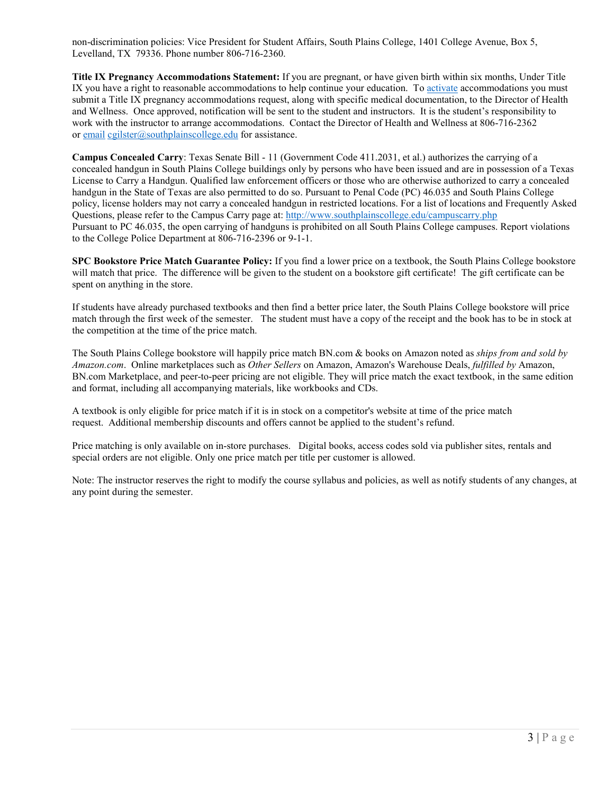non-discrimination policies: Vice President for Student Affairs, South Plains College, 1401 College Avenue, Box 5, Levelland, TX 79336. Phone number 806-716-2360.

**Title IX Pregnancy Accommodations Statement:** If you are pregnant, or have given birth within six months, Under Title IX you have a right to reasonable accommodations to help continue your education. To [activate](http://www.southplainscollege.edu/employees/manualshandbooks/facultyhandbook/sec4.php) accommodations you must submit a Title IX pregnancy accommodations request, along with specific medical documentation, to the Director of Health and Wellness. Once approved, notification will be sent to the student and instructors. It is the student's responsibility to work with the instructor to arrange accommodations. Contact the Director of Health and Wellness at 806-716-2362 or [email](http://www.southplainscollege.edu/employees/manualshandbooks/facultyhandbook/sec4.php) [cgilster@southplainscollege.edu](mailto:cgilster@southplainscollege.edu) for assistance.

**Campus Concealed Carry**: Texas Senate Bill - 11 (Government Code 411.2031, et al.) authorizes the carrying of a concealed handgun in South Plains College buildings only by persons who have been issued and are in possession of a Texas License to Carry a Handgun. Qualified law enforcement officers or those who are otherwise authorized to carry a concealed handgun in the State of Texas are also permitted to do so. Pursuant to Penal Code (PC) 46.035 and South Plains College policy, license holders may not carry a concealed handgun in restricted locations. For a list of locations and Frequently Asked Questions, please refer to the Campus Carry page at: <http://www.southplainscollege.edu/campuscarry.php> Pursuant to PC 46.035, the open carrying of handguns is prohibited on all South Plains College campuses. Report violations to the College Police Department at 806-716-2396 or 9-1-1.

**SPC Bookstore Price Match Guarantee Policy:** If you find a lower price on a textbook, the South Plains College bookstore will match that price. The difference will be given to the student on a bookstore gift certificate! The gift certificate can be spent on anything in the store.

If students have already purchased textbooks and then find a better price later, the South Plains College bookstore will price match through the first week of the semester. The student must have a copy of the receipt and the book has to be in stock at the competition at the time of the price match.

The South Plains College bookstore will happily price match BN.com & books on Amazon noted as *ships from and sold by Amazon.com*. Online marketplaces such as *Other Sellers* on Amazon, Amazon's Warehouse Deals, *fulfilled by* Amazon, BN.com Marketplace, and peer-to-peer pricing are not eligible. They will price match the exact textbook, in the same edition and format, including all accompanying materials, like workbooks and CDs.

A textbook is only eligible for price match if it is in stock on a competitor's website at time of the price match request. Additional membership discounts and offers cannot be applied to the student's refund.

Price matching is only available on in-store purchases. Digital books, access codes sold via publisher sites, rentals and special orders are not eligible. Only one price match per title per customer is allowed.

Note: The instructor reserves the right to modify the course syllabus and policies, as well as notify students of any changes, at any point during the semester.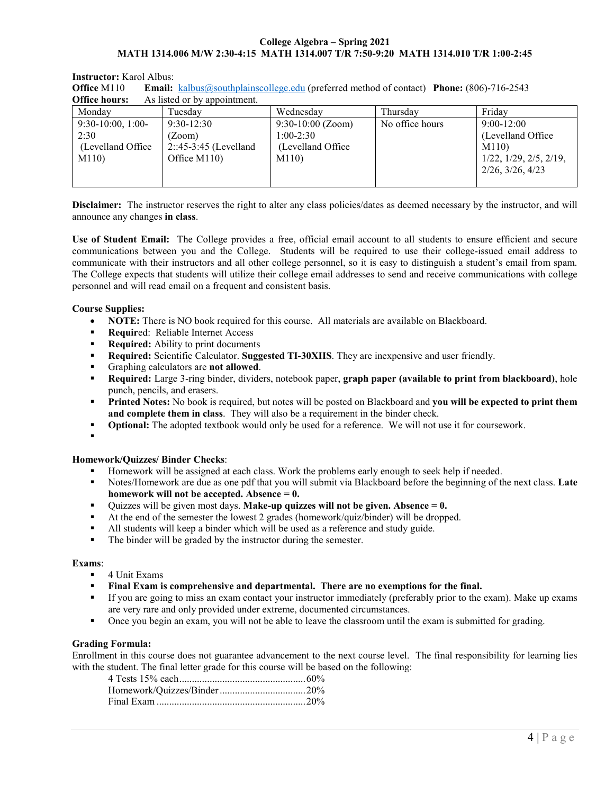# **College Algebra – Spring 2021 MATH 1314.006 M/W 2:30-4:15 MATH 1314.007 T/R 7:50-9:20 MATH 1314.010 T/R 1:00-2:45**

## **Instructor:** Karol Albus:

| <b>Office M110</b> | <b>Email:</b> $\underline{\text{kalbus@southplainscollege.edu}}$ (preferred method of contact) <b>Phone:</b> (806)-716-2543 |  |
|--------------------|-----------------------------------------------------------------------------------------------------------------------------|--|
|                    | <b>Office hours:</b> As listed or by appointment.                                                                           |  |

| Monday             | Tuesdav                 | Wednesdav           | Thursdav        | Fridav                             |
|--------------------|-------------------------|---------------------|-----------------|------------------------------------|
| $9:30-10:00, 1:00$ | $9:30-12:30$            | $9:30-10:00$ (Zoom) | No office hours | $9:00-12:00$                       |
| 2:30               | (Zoom)                  | 1:00-2:30           |                 | (Levelland Office)                 |
| (Levelland Office) | $2::45-3:45$ (Levelland | (Levelland Office   |                 | M110                               |
| M110               | Office M110)            | M110)               |                 | $1/22$ , $1/29$ , $2/5$ , $2/19$ , |
|                    |                         |                     |                 | $2/26$ , $3/26$ , $4/23$           |
|                    |                         |                     |                 |                                    |

**Disclaimer:** The instructor reserves the right to alter any class policies/dates as deemed necessary by the instructor, and will announce any changes **in class**.

**Use of Student Email:** The College provides a free, official email account to all students to ensure efficient and secure communications between you and the College. Students will be required to use their college-issued email address to communicate with their instructors and all other college personnel, so it is easy to distinguish a student's email from spam. The College expects that students will utilize their college email addresses to send and receive communications with college personnel and will read email on a frequent and consistent basis.

### **Course Supplies:**

- **NOTE:** There is NO book required for this course. All materials are available on Blackboard.
- **Required: Reliable Internet Access**
- **Required:** Ability to print documents
- **Required:** Scientific Calculator. **Suggested TI-30XIIS**. They are inexpensive and user friendly.
- Graphing calculators are **not allowed**.
- **Required:** Large 3-ring binder, dividers, notebook paper, **graph paper (available to print from blackboard)**, hole punch, pencils, and erasers.
- **Printed Notes:** No book is required, but notes will be posted on Blackboard and **you will be expected to print them and complete them in class**. They will also be a requirement in the binder check.
- **•** Optional: The adopted textbook would only be used for a reference. We will not use it for coursework.
- .

#### **Homework/Quizzes/ Binder Checks**:

- Homework will be assigned at each class. Work the problems early enough to seek help if needed.
- Notes/Homework are due as one pdf that you will submit via Blackboard before the beginning of the next class. **Late homework will not be accepted. Absence = 0.**
- Quizzes will be given most days. **Make-up quizzes will not be given. Absence = 0.**
- At the end of the semester the lowest 2 grades (homework/quiz/binder) will be dropped.
- All students will keep a binder which will be used as a reference and study guide.
- The binder will be graded by the instructor during the semester.

#### **Exams**:

- 4 Unit Exams
- **Final Exam is comprehensive and departmental. There are no exemptions for the final.**
- If you are going to miss an exam contact your instructor immediately (preferably prior to the exam). Make up exams are very rare and only provided under extreme, documented circumstances.
- Once you begin an exam, you will not be able to leave the classroom until the exam is submitted for grading.

## **Grading Formula:**

Enrollment in this course does not guarantee advancement to the next course level. The final responsibility for learning lies with the student. The final letter grade for this course will be based on the following: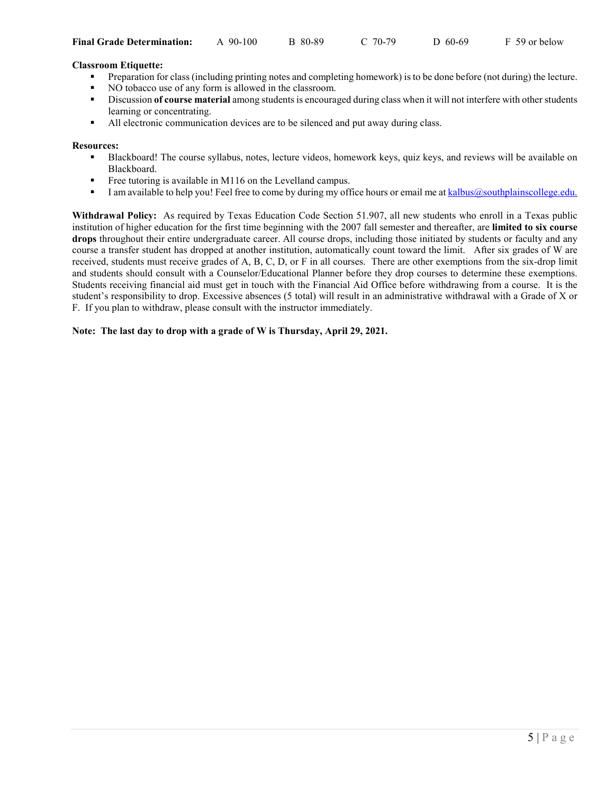| C 70-79 | $D$ 60-69 | F 59 or below |
|---------|-----------|---------------|
|         |           |               |

# **Classroom Etiquette:**

- Preparation for class (including printing notes and completing homework) is to be done before (not during) the lecture.
- NO tobacco use of any form is allowed in the classroom.
- Discussion **of course material** among students is encouraged during class when it will not interfere with other students learning or concentrating.
- All electronic communication devices are to be silenced and put away during class.

# **Resources:**

- Blackboard! The course syllabus, notes, lecture videos, homework keys, quiz keys, and reviews will be available on Blackboard.
- Free tutoring is available in M116 on the Levelland campus.
- I am available to help you! Feel free to come by during my office hours or email me at [kalbus@southplainscollege.edu.](mailto:kalbus@southplainscollege.edu)

**Withdrawal Policy:** As required by Texas Education Code Section 51.907, all new students who enroll in a Texas public institution of higher education for the first time beginning with the 2007 fall semester and thereafter, are **limited to six course drops** throughout their entire undergraduate career. All course drops, including those initiated by students or faculty and any course a transfer student has dropped at another institution, automatically count toward the limit. After six grades of W are received, students must receive grades of A, B, C, D, or F in all courses. There are other exemptions from the six-drop limit and students should consult with a Counselor/Educational Planner before they drop courses to determine these exemptions. Students receiving financial aid must get in touch with the Financial Aid Office before withdrawing from a course. It is the student's responsibility to drop. Excessive absences (5 total) will result in an administrative withdrawal with a Grade of X or F. If you plan to withdraw, please consult with the instructor immediately.

# **Note: The last day to drop with a grade of W is Thursday, April 29, 2021.**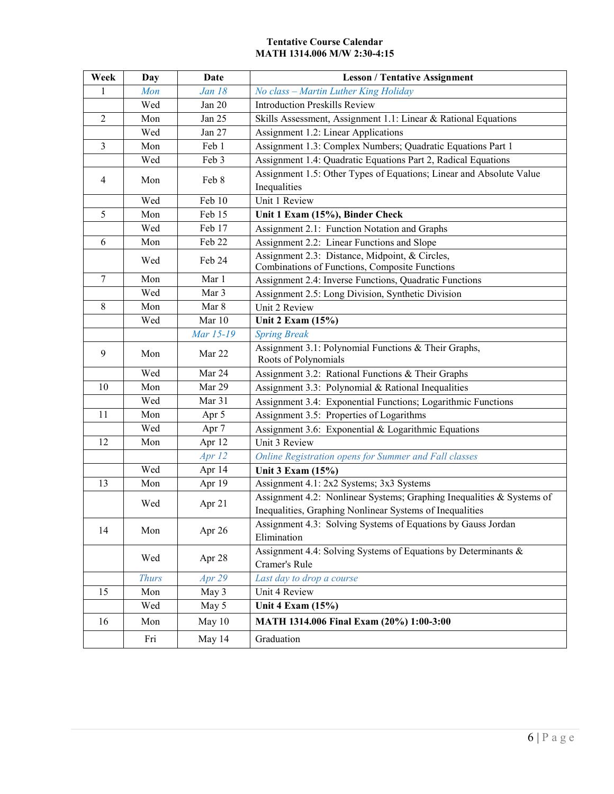# **Tentative Course Calendar MATH 1314.006 M/W 2:30-4:15**

| Week           | Day          | <b>Date</b>   | <b>Lesson / Tentative Assignment</b>                                                                                              |
|----------------|--------------|---------------|-----------------------------------------------------------------------------------------------------------------------------------|
| 1              | Mon          | <b>Jan 18</b> | No class - Martin Luther King Holiday                                                                                             |
|                | Wed          | Jan 20        | <b>Introduction Preskills Review</b>                                                                                              |
| $\sqrt{2}$     | Mon          | Jan 25        | Skills Assessment, Assignment 1.1: Linear & Rational Equations                                                                    |
|                | Wed          | Jan 27        | Assignment 1.2: Linear Applications                                                                                               |
| $\overline{3}$ | Mon          | Feb 1         | Assignment 1.3: Complex Numbers; Quadratic Equations Part 1                                                                       |
|                | Wed          | Feb 3         | Assignment 1.4: Quadratic Equations Part 2, Radical Equations                                                                     |
| 4              | Mon          | Feb 8         | Assignment 1.5: Other Types of Equations; Linear and Absolute Value<br>Inequalities                                               |
|                | Wed          | Feb 10        | Unit 1 Review                                                                                                                     |
| 5              | Mon          | Feb 15        | Unit 1 Exam (15%), Binder Check                                                                                                   |
|                | Wed          | Feb 17        | Assignment 2.1: Function Notation and Graphs                                                                                      |
| 6              | Mon          | Feb 22        | Assignment 2.2: Linear Functions and Slope                                                                                        |
|                |              |               | Assignment 2.3: Distance, Midpoint, & Circles,                                                                                    |
|                | Wed          | Feb 24        | Combinations of Functions, Composite Functions                                                                                    |
| $\overline{7}$ | Mon          | Mar 1         | Assignment 2.4: Inverse Functions, Quadratic Functions                                                                            |
|                | Wed          | Mar 3         | Assignment 2.5: Long Division, Synthetic Division                                                                                 |
| 8              | Mon          | Mar 8         | Unit 2 Review                                                                                                                     |
|                | Wed          | Mar 10        | Unit 2 Exam (15%)                                                                                                                 |
|                |              | Mar 15-19     | <b>Spring Break</b>                                                                                                               |
| 9              | Mon          | Mar 22        | Assignment 3.1: Polynomial Functions & Their Graphs,<br>Roots of Polynomials                                                      |
|                | Wed          | Mar 24        | Assignment 3.2: Rational Functions & Their Graphs                                                                                 |
| 10             | Mon          | Mar 29        | Assignment 3.3: Polynomial & Rational Inequalities                                                                                |
|                | Wed          | Mar 31        | Assignment 3.4: Exponential Functions; Logarithmic Functions                                                                      |
| 11             | Mon          | Apr 5         | Assignment 3.5: Properties of Logarithms                                                                                          |
|                | Wed          | Apr 7         | Assignment 3.6: Exponential & Logarithmic Equations                                                                               |
| 12             | Mon          | Apr 12        | Unit 3 Review                                                                                                                     |
|                |              | Apr $12$      | Online Registration opens for Summer and Fall classes                                                                             |
|                | Wed          | Apr 14        | Unit 3 Exam (15%)                                                                                                                 |
| 13             | Mon          | Apr 19        | Assignment 4.1: 2x2 Systems; 3x3 Systems                                                                                          |
|                | Wed          | Apr 21        | Assignment 4.2: Nonlinear Systems; Graphing Inequalities & Systems of<br>Inequalities, Graphing Nonlinear Systems of Inequalities |
| 14             | Mon          | Apr 26        | Assignment 4.3: Solving Systems of Equations by Gauss Jordan<br>Elimination                                                       |
|                | Wed          | Apr 28        | Assignment 4.4: Solving Systems of Equations by Determinants &<br>Cramer's Rule                                                   |
|                | <b>Thurs</b> | Apr 29        | Last day to drop a course                                                                                                         |
| 15             | Mon          | May 3         | Unit 4 Review                                                                                                                     |
|                | Wed          | May 5         | Unit 4 Exam (15%)                                                                                                                 |
| 16             | Mon          | May 10        | MATH 1314.006 Final Exam (20%) 1:00-3:00                                                                                          |
|                | Fri          | May 14        | Graduation                                                                                                                        |